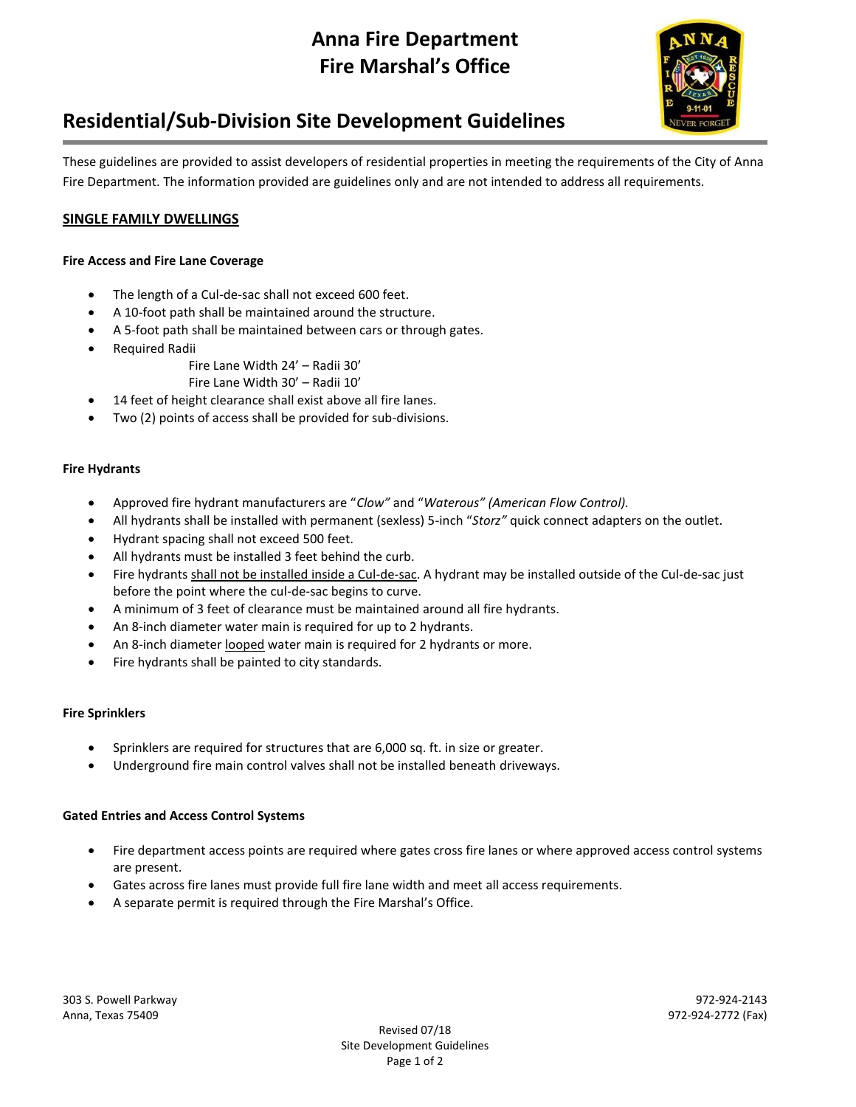# **Anna Fire Department Fire Marshal's Office**



# **Residential/Sub-Division Site Development Guidelines**

These guidelines are provided to assist developers of residential properties in meeting the requirements of the City of Anna Fire Department. The information provided are guidelines only and are not intended to address all requirements.

## **SINGLE FAMILY DWELLINGS**

### **Fire Access and Fire Lane Coverage**

- The length of a Cul-de-sac shall not exceed 600 feet.
- A 10-foot path shall be maintained around the structure.
- A 5-foot path shall be maintained between cars or through gates.
- Required Radii
	- Fire Lane Width 24' Radii 30'
		- Fire Lane Width 30' Radii 10'
- 14 feet of height clearance shall exist above all fire lanes.
- Two (2) points of access shall be provided for sub-divisions.

### **Fire Hydrants**

- Approved fire hydrant manufacturers are "*Clow"* and "*Waterous" (American Flow Control).*
- All hydrants shall be installed with permanent (sexless) 5-inch "*Storz"* quick connect adapters on the outlet.
- Hydrant spacing shall not exceed 500 feet.
- All hydrants must be installed 3 feet behind the curb.
- Fire hydrants shall not be installed inside a Cul-de-sac. A hydrant may be installed outside of the Cul-de-sac just before the point where the cul-de-sac begins to curve.
- A minimum of 3 feet of clearance must be maintained around all fire hydrants.
- An 8-inch diameter water main is required for up to 2 hydrants.
- An 8-inch diameter looped water main is required for 2 hydrants or more.
- Fire hydrants shall be painted to city standards.

#### **Fire Sprinklers**

- Sprinklers are required for structures that are 6,000 sq. ft. in size or greater.
- Underground fire main control valves shall not be installed beneath driveways.

#### **Gated Entries and Access Control Systems**

- Fire department access points are required where gates cross fire lanes or where approved access control systems are present.
- Gates across fire lanes must provide full fire lane width and meet all access requirements.
- A separate permit is required through the Fire Marshal's Office.